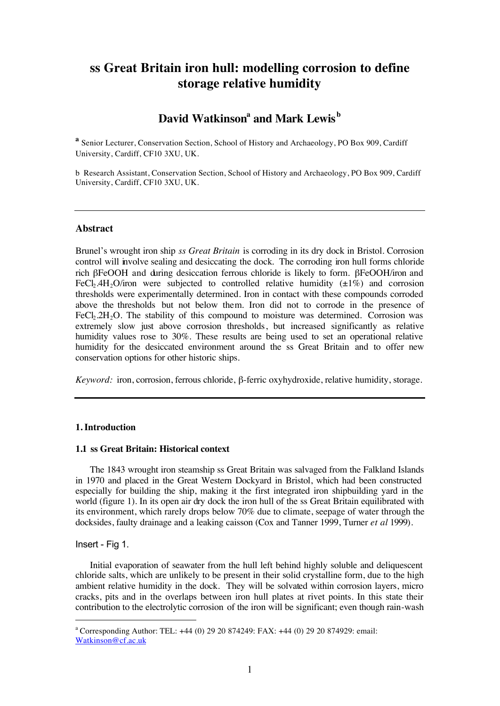# **ss Great Britain iron hull: modelling corrosion to define storage relative humidity**

# $\mathbf{David\text{ \textbf{W}atkinson}^{a}}$  and  $\mathbf{Mark\text{ \textbf{L}ewis}^{b}}$

**a** Senior Lecturer, Conservation Section, School of History and Archaeology, PO Box 909, Cardiff University, Cardiff, CF10 3XU, UK.

b Research Assistant, Conservation Section, School of History and Archaeology, PO Box 909, Cardiff University, Cardiff, CF10 3XU, UK.

#### **Abstract**

Brunel's wrought iron ship *ss Great Britain* is corroding in its dry dock in Bristol. Corrosion control will involve sealing and desiccating the dock. The corroding iron hull forms chloride rich βFeOOH and during desiccation ferrous chloride is likely to form. βFeOOH/iron and FeCl<sub>2</sub>.4H<sub>2</sub>O/iron were subjected to controlled relative humidity ( $\pm 1\%$ ) and corrosion thresholds were experimentally determined. Iron in contact with these compounds corroded above the thresholds but not below them. Iron did not to corrode in the presence of FeCl<sub>2</sub>.2H<sub>2</sub>O. The stability of this compound to moisture was determined. Corrosion was extremely slow just above corrosion thresholds, but increased significantly as relative humidity values rose to 30%. These results are being used to set an operational relative humidity for the desiccated environment around the ss Great Britain and to offer new conservation options for other historic ships.

*Keyword:* iron, corrosion, ferrous chloride, β-ferric oxyhydroxide, relative humidity, storage.

## **1. Introduction**

#### **1.1 ss Great Britain: Historical context**

The 1843 wrought iron steamship ss Great Britain was salvaged from the Falkland Islands in 1970 and placed in the Great Western Dockyard in Bristol, which had been constructed especially for building the ship, making it the first integrated iron shipbuilding yard in the world (figure 1). In its open air dry dock the iron hull of the ss Great Britain equilibrated with its environment, which rarely drops below 70% due to climate, seepage of water through the docksides, faulty drainage and a leaking caisson (Cox and Tanner 1999, Turner *et al* 1999).

#### Insert - Fig 1.

Initial evaporation of seawater from the hull left behind highly soluble and deliquescent chloride salts, which are unlikely to be present in their solid crystalline form, due to the high ambient relative humidity in the dock. They will be solvated within corrosion layers, micro cracks, pits and in the overlaps between iron hull plates at rivet points. In this state their contribution to the electrolytic corrosion of the iron will be significant; even though rain-wash

<sup>&</sup>lt;u>a</u> <sup>a</sup> Corresponding Author: TEL:  $+44$  (0) 29 20 874249: FAX:  $+44$  (0) 29 20 874929: email: Watkinson@cf.ac.uk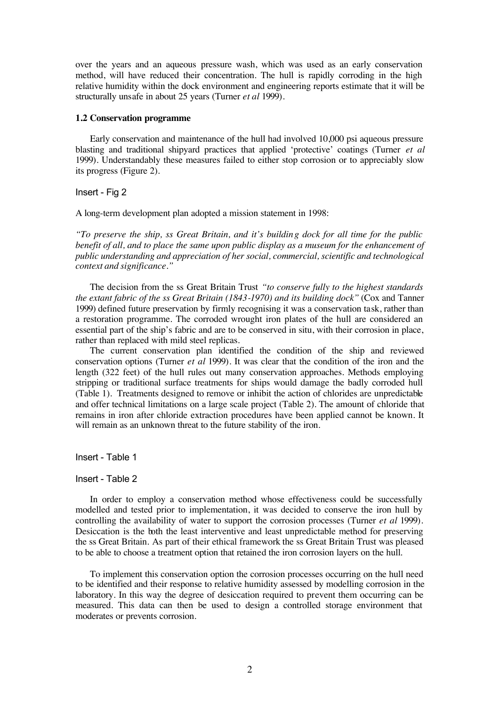over the years and an aqueous pressure wash, which was used as an early conservation method, will have reduced their concentration. The hull is rapidly corroding in the high relative humidity within the dock environment and engineering reports estimate that it will be structurally unsafe in about 25 years (Turner *et al* 1999).

#### **1.2 Conservation programme**

Early conservation and maintenance of the hull had involved 10,000 psi aqueous pressure blasting and traditional shipyard practices that applied 'protective' coatings (Turner *et al* 1999). Understandably these measures failed to either stop corrosion or to appreciably slow its progress (Figure 2).

#### Insert - Fig 2

A long-term development plan adopted a mission statement in 1998:

*"To preserve the ship, ss Great Britain, and it's buildin g dock for all time for the public benefit of all, and to place the same upon public display as a museum for the enhancement of public understanding and appreciation of her social, commercial, scientific and technological context and significance."*

The decision from the ss Great Britain Trust *"to conserve fully to the highest standards the extant fabric of the ss Great Britain (1843-1970) and its building dock"* (Cox and Tanner 1999) defined future preservation by firmly recognising it was a conservation task, rather than a restoration programme. The corroded wrought iron plates of the hull are considered an essential part of the ship's fabric and are to be conserved in situ, with their corrosion in place, rather than replaced with mild steel replicas.

The current conservation plan identified the condition of the ship and reviewed conservation options (Turner *et al* 1999). It was clear that the condition of the iron and the length (322 feet) of the hull rules out many conservation approaches. Methods employing stripping or traditional surface treatments for ships would damage the badly corroded hull (Table 1). Treatments designed to remove or inhibit the action of chlorides are unpredictable and offer technical limitations on a large scale project (Table 2). The amount of chloride that remains in iron after chloride extraction procedures have been applied cannot be known. It will remain as an unknown threat to the future stability of the iron.

Insert - Table 1

#### Insert - Table 2

In order to employ a conservation method whose effectiveness could be successfully modelled and tested prior to implementation, it was decided to conserve the iron hull by controlling the availability of water to support the corrosion processes (Turner *et al* 1999). Desiccation is the both the least interventive and least unpredictable method for preserving the ss Great Britain. As part of their ethical framework the ss Great Britain Trust was pleased to be able to choose a treatment option that retained the iron corrosion layers on the hull.

To implement this conservation option the corrosion processes occurring on the hull need to be identified and their response to relative humidity assessed by modelling corrosion in the laboratory. In this way the degree of desiccation required to prevent them occurring can be measured. This data can then be used to design a controlled storage environment that moderates or prevents corrosion.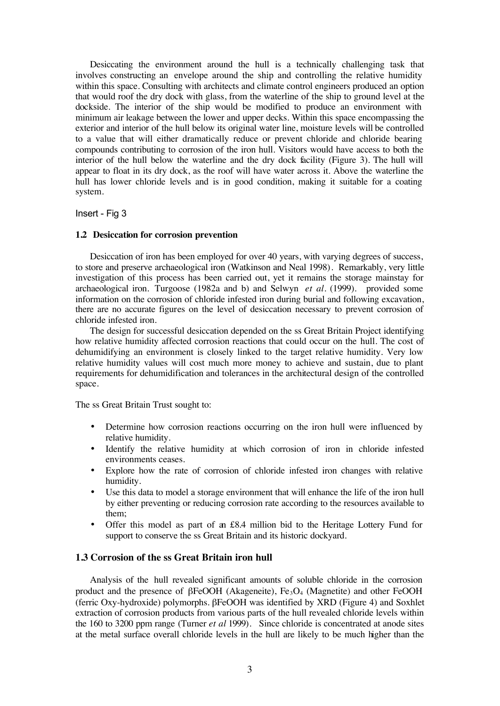Desiccating the environment around the hull is a technically challenging task that involves constructing an envelope around the ship and controlling the relative humidity within this space. Consulting with architects and climate control engineers produced an option that would roof the dry dock with glass, from the waterline of the ship to ground level at the dockside. The interior of the ship would be modified to produce an environment with minimum air leakage between the lower and upper decks. Within this space encompassing the exterior and interior of the hull below its original water line, moisture levels will be controlled to a value that will either dramatically reduce or prevent chloride and chloride bearing compounds contributing to corrosion of the iron hull. Visitors would have access to both the interior of the hull below the waterline and the dry dock facility (Figure 3). The hull will appear to float in its dry dock, as the roof will have water across it. Above the waterline the hull has lower chloride levels and is in good condition, making it suitable for a coating system.

#### Insert - Fig 3

#### **1.2 Desiccation for corrosion prevention**

Desiccation of iron has been employed for over 40 years, with varying degrees of success, to store and preserve archaeological iron (Watkinson and Neal 1998). Remarkably, very little investigation of this process has been carried out, yet it remains the storage mainstay for archaeological iron. Turgoose (1982a and b) and Selwyn *et al.* (1999). provided some information on the corrosion of chloride infested iron during burial and following excavation, there are no accurate figures on the level of desiccation necessary to prevent corrosion of chloride infested iron.

The design for successful desiccation depended on the ss Great Britain Project identifying how relative humidity affected corrosion reactions that could occur on the hull. The cost of dehumidifying an environment is closely linked to the target relative humidity. Very low relative humidity values will cost much more money to achieve and sustain, due to plant requirements for dehumidification and tolerances in the architectural design of the controlled space.

The ss Great Britain Trust sought to:

- Determine how corrosion reactions occurring on the iron hull were influenced by relative humidity.
- Identify the relative humidity at which corrosion of iron in chloride infested environments ceases.
- Explore how the rate of corrosion of chloride infested iron changes with relative humidity.
- Use this data to model a storage environment that will enhance the life of the iron hull by either preventing or reducing corrosion rate according to the resources available to them;
- Offer this model as part of an £8.4 million bid to the Heritage Lottery Fund for support to conserve the ss Great Britain and its historic dockyard.

#### **1.3 Corrosion of the ss Great Britain iron hull**

Analysis of the hull revealed significant amounts of soluble chloride in the corrosion product and the presence of  $\beta$ FeOOH (Akageneite), Fe<sub>3</sub>O<sub>4</sub> (Magnetite) and other FeOOH (ferric Oxy-hydroxide) polymorphs. βFeOOH was identified by XRD (Figure 4) and Soxhlet extraction of corrosion products from various parts of the hull revealed chloride levels within the 160 to 3200 ppm range (Turner *et al* 1999). Since chloride is concentrated at anode sites at the metal surface overall chloride levels in the hull are likely to be much higher than the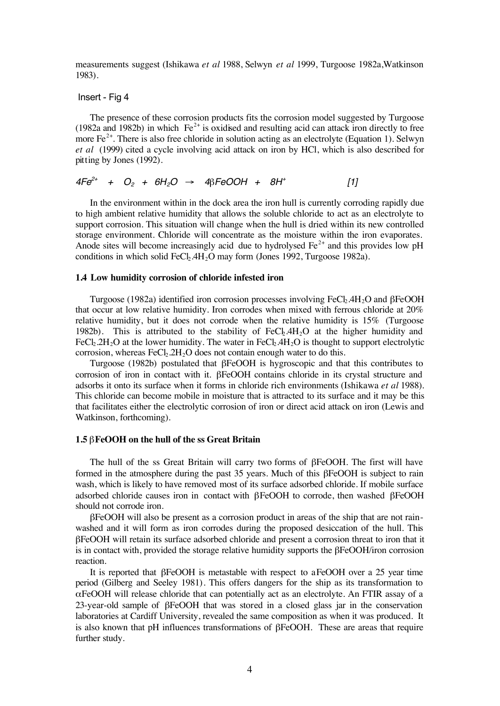measurements suggest (Ishikawa *et al* 1988, Selwyn *et al* 1999, Turgoose 1982a,Watkinson 1983).

#### Insert - Fig 4

The presence of these corrosion products fits the corrosion model suggested by Turgoose (1982a and 1982b) in which  $Fe<sup>2+</sup>$  is oxidised and resulting acid can attack iron directly to free more  $Fe^{2+}$ . There is also free chloride in solution acting as an electrolyte (Equation 1). Selwyn *et al* (1999) cited a cycle involving acid attack on iron by HCl, which is also described for pitting by Jones (1992).

$$
4Fe^{2+} + O_2 + 6H_2O \rightarrow 4\beta FeOOH + 8H^+ \qquad [1]
$$

In the environment within in the dock area the iron hull is currently corroding rapidly due to high ambient relative humidity that allows the soluble chloride to act as an electrolyte to support corrosion. This situation will change when the hull is dried within its new controlled storage environment. Chloride will concentrate as the moisture within the iron evaporates. Anode sites will become increasingly acid due to hydrolysed  $Fe<sup>2+</sup>$  and this provides low pH conditions in which solid FeCl.  $4H<sub>2</sub>O$  may form (Jones 1992, Turgoose 1982a).

#### **1.4 Low humidity corrosion of chloride infested iron**

Turgoose (1982a) identified iron corrosion processes involving FeCl<sub>2</sub>.4H<sub>2</sub>O and βFeOOH that occur at low relative humidity. Iron corrodes when mixed with ferrous chloride at 20% relative humidity, but it does not corrode when the relative humidity is 15% (Turgoose 1982b). This is attributed to the stability of  $FeC<sub>b</sub>4H<sub>2</sub>O$  at the higher humidity and FeCl<sub>2</sub>.2H<sub>2</sub>O at the lower humidity. The water in FeCl<sub>2</sub>.4H<sub>2</sub>O is thought to support electrolytic corrosion, whereas  $FeCl<sub>2</sub>$ .  $2H<sub>2</sub>O$  does not contain enough water to do this.

Turgoose (1982b) postulated that βFeOOH is hygroscopic and that this contributes to corrosion of iron in contact with it. βFeOOH contains chloride in its crystal structure and adsorbs it onto its surface when it forms in chloride rich environments (Ishikawa *et al* 1988). This chloride can become mobile in moisture that is attracted to its surface and it may be this that facilitates either the electrolytic corrosion of iron or direct acid attack on iron (Lewis and Watkinson, forthcoming).

#### **1.5** β**FeOOH on the hull of the ss Great Britain**

The hull of the ss Great Britain will carry two forms of βFeOOH. The first will have formed in the atmosphere during the past 35 years. Much of this βFeOOH is subject to rain wash, which is likely to have removed most of its surface adsorbed chloride. If mobile surface adsorbed chloride causes iron in contact with βFeOOH to corrode, then washed βFeOOH should not corrode iron.

βFeOOH will also be present as a corrosion product in areas of the ship that are not rainwashed and it will form as iron corrodes during the proposed desiccation of the hull. This βFeOOH will retain its surface adsorbed chloride and present a corrosion threat to iron that it is in contact with, provided the storage relative humidity supports the  $\beta FeOOH/iron$  corrosion reaction.

It is reported that βFeOOH is metastable with respect to aFeOOH over a 25 year time period (Gilberg and Seeley 1981). This offers dangers for the ship as its transformation to αFeOOH will release chloride that can potentially act as an electrolyte. An FTIR assay of a 23-year-old sample of βFeOOH that was stored in a closed glass jar in the conservation laboratories at Cardiff University, revealed the same composition as when it was produced. It is also known that pH influences transformations of βFeOOH. These are areas that require further study.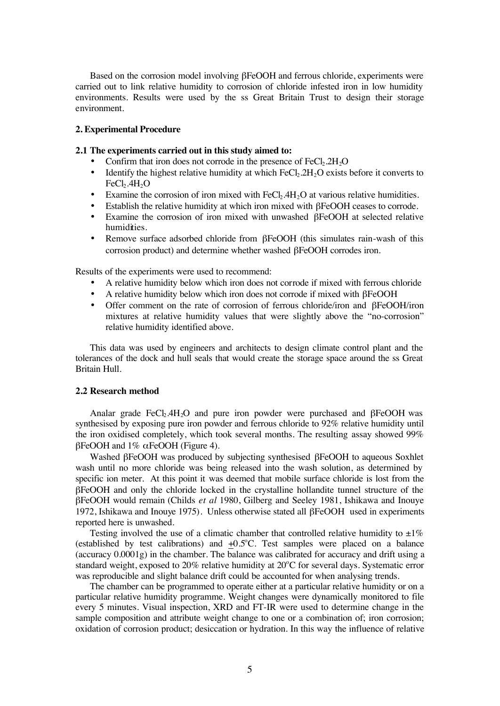Based on the corrosion model involving βFeOOH and ferrous chloride, experiments were carried out to link relative humidity to corrosion of chloride infested iron in low humidity environments. Results were used by the ss Great Britain Trust to design their storage environment.

#### **2. Experimental Procedure**

#### **2.1 The experiments carried out in this study aimed to:**

- Confirm that iron does not corrode in the presence of  $FeCl<sub>2</sub>.2H<sub>2</sub>O$
- Identify the highest relative humidity at which  $FeCl<sub>2</sub>2H<sub>2</sub>O$  exists before it converts to  $FeCl<sub>2</sub>.4H<sub>2</sub>O$
- Examine the corrosion of iron mixed with  $FeCl<sub>2</sub>4H<sub>2</sub>O$  at various relative humidities.
- Establish the relative humidity at which iron mixed with βFeOOH ceases to corrode.<br>• Examine the corrosion of iron mixed with unwashed βFeOOH at selected relative
- Examine the corrosion of iron mixed with unwashed βFeOOH at selected relative humidities.
- Remove surface adsorbed chloride from βFeOOH (this simulates rain-wash of this corrosion product) and determine whether washed βFeOOH corrodes iron.

Results of the experiments were used to recommend:

- A relative humidity below which iron does not corrode if mixed with ferrous chloride
- A relative humidity below which iron does not corrode if mixed with βFeOOH<br>• Offer comment on the rate of corrosion of ferrous chloride/iron and  $BFeOO$
- Offer comment on the rate of corrosion of ferrous chloride/iron and βFeOOH/iron mixtures at relative humidity values that were slightly above the "no-corrosion" relative humidity identified above.

This data was used by engineers and architects to design climate control plant and the tolerances of the dock and hull seals that would create the storage space around the ss Great Britain Hull.

#### **2.2 Research method**

Analar grade FeCl<sub>2</sub>.4H<sub>2</sub>O and pure iron powder were purchased and βFeOOH was synthesised by exposing pure iron powder and ferrous chloride to 92% relative humidity until the iron oxidised completely, which took several months. The resulting assay showed 99% βFeOOH and 1% αFeOOH (Figure 4).

Washed βFeOOH was produced by subjecting synthesised βFeOOH to aqueous Soxhlet wash until no more chloride was being released into the wash solution, as determined by specific ion meter. At this point it was deemed that mobile surface chloride is lost from the βFeOOH and only the chloride locked in the crystalline hollandite tunnel structure of the βFeOOH would remain (Childs *et al* 1980, Gilberg and Seeley 1981, Ishikawa and Inouye 1972, Ishikawa and Inouye 1975). Unless otherwise stated all βFeOOH used in experiments reported here is unwashed.

Testing involved the use of a climatic chamber that controlled relative humidity to  $\pm 1\%$ (established by test calibrations) and  $\pm 0.5^{\circ}$ C. Test samples were placed on a balance (accuracy 0.0001g) in the chamber. The balance was calibrated for accuracy and drift using a standard weight, exposed to 20% relative humidity at 20°C for several days. Systematic error was reproducible and slight balance drift could be accounted for when analysing trends.

The chamber can be programmed to operate either at a particular relative humidity or on a particular relative humidity programme. Weight changes were dynamically monitored to file every 5 minutes. Visual inspection, XRD and FT-IR were used to determine change in the sample composition and attribute weight change to one or a combination of; iron corrosion; oxidation of corrosion product; desiccation or hydration. In this way the influence of relative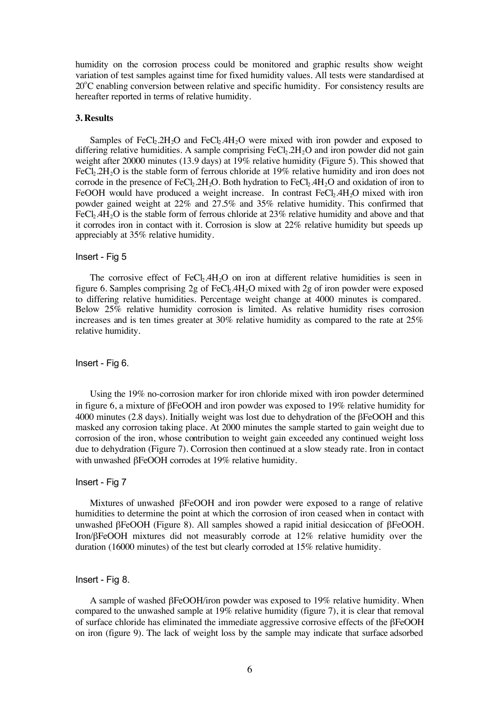humidity on the corrosion process could be monitored and graphic results show weight variation of test samples against time for fixed humidity values. All tests were standardised at 20°C enabling conversion between relative and specific humidity. For consistency results are hereafter reported in terms of relative humidity.

#### **3. Results**

Samples of FeCl<sub>2</sub>.2H<sub>2</sub>O and FeCl<sub>2</sub>.4H<sub>2</sub>O were mixed with iron powder and exposed to differing relative humidities. A sample comprising  $FeCl<sub>2</sub> 2H<sub>2</sub>O$  and iron powder did not gain weight after 20000 minutes (13.9 days) at 19% relative humidity (Figure 5). This showed that FeCl<sub>2</sub>.2H<sub>2</sub>O is the stable form of ferrous chloride at 19% relative humidity and iron does not corrode in the presence of FeCl<sub>2</sub>.2H<sub>2</sub>O. Both hydration to FeCl<sub>2</sub>.4H<sub>2</sub>O and oxidation of iron to FeOOH would have produced a weight increase. In contrast  $FeCl<sub>2</sub>4H<sub>2</sub>O$  mixed with iron powder gained weight at 22% and 27.5% and 35% relative humidity. This confirmed that FeCl<sub>2</sub>.4H<sub>2</sub>O is the stable form of ferrous chloride at  $23\%$  relative humidity and above and that it corrodes iron in contact with it. Corrosion is slow at 22% relative humidity but speeds up appreciably at 35% relative humidity.

#### Insert - Fig 5

The corrosive effect of  $FeCl<sub>2</sub>4H<sub>2</sub>O$  on iron at different relative humidities is seen in figure 6. Samples comprising 2g of  $FeC_{12}$ .4H<sub>2</sub>O mixed with 2g of iron powder were exposed to differing relative humidities. Percentage weight change at 4000 minutes is compared. Below 25% relative humidity corrosion is limited. As relative humidity rises corrosion increases and is ten times greater at 30% relative humidity as compared to the rate at 25% relative humidity.

#### Insert - Fig 6.

Using the 19% no-corrosion marker for iron chloride mixed with iron powder determined in figure 6, a mixture of βFeOOH and iron powder was exposed to 19% relative humidity for 4000 minutes (2.8 days). Initially weight was lost due to dehydration of the βFeOOH and this masked any corrosion taking place. At 2000 minutes the sample started to gain weight due to corrosion of the iron, whose contribution to weight gain exceeded any continued weight loss due to dehydration (Figure 7). Corrosion then continued at a slow steady rate. Iron in contact with unwashed βFeOOH corrodes at 19% relative humidity.

#### Insert - Fig 7

Mixtures of unwashed βFeOOH and iron powder were exposed to a range of relative humidities to determine the point at which the corrosion of iron ceased when in contact with unwashed βFeOOH (Figure 8). All samples showed a rapid initial desiccation of βFeOOH. Iron/βFeOOH mixtures did not measurably corrode at 12% relative humidity over the duration (16000 minutes) of the test but clearly corroded at 15% relative humidity.

### Insert - Fig 8.

A sample of washed βFeOOH/iron powder was exposed to 19% relative humidity. When compared to the unwashed sample at 19% relative humidity (figure 7), it is clear that removal of surface chloride has eliminated the immediate aggressive corrosive effects of the βFeOOH on iron (figure 9). The lack of weight loss by the sample may indicate that surface adsorbed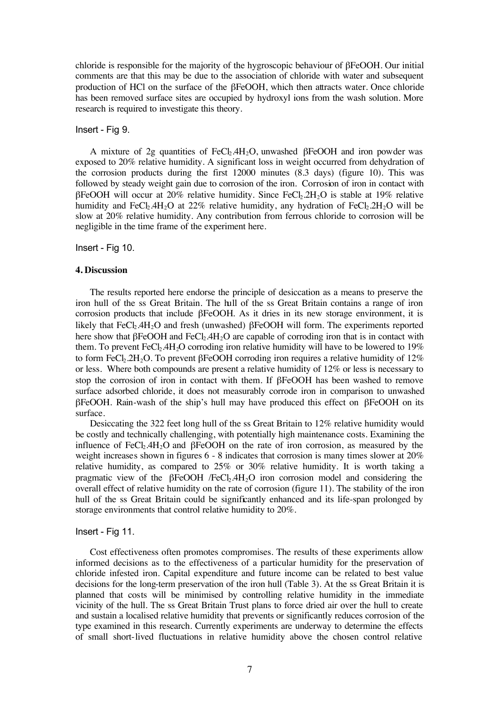chloride is responsible for the majority of the hygroscopic behaviour of βFeOOH. Our initial comments are that this may be due to the association of chloride with water and subsequent production of HCl on the surface of the βFeOOH, which then attracts water. Once chloride has been removed surface sites are occupied by hydroxyl ions from the wash solution. More research is required to investigate this theory.

#### Insert - Fig 9.

A mixture of 2g quantities of FeCl<sub>2</sub>.4H<sub>2</sub>O, unwashed βFeOOH and iron powder was exposed to 20% relative humidity. A significant loss in weight occurred from dehydration of the corrosion products during the first 12000 minutes (8.3 days) (figure 10). This was followed by steady weight gain due to corrosion of the iron. Corrosion of iron in contact with  $βFeOOH$  will occur at  $20%$  relative humidity. Since  $FeCl<sub>2</sub>H<sub>2</sub>O$  is stable at 19% relative humidity and FeCl<sub>2</sub>.4H<sub>2</sub>O at 22% relative humidity, any hydration of FeCl<sub>2</sub>.2H<sub>2</sub>O will be slow at 20% relative humidity. Any contribution from ferrous chloride to corrosion will be negligible in the time frame of the experiment here.

#### Insert - Fig 10.

#### **4. Discussion**

The results reported here endorse the principle of desiccation as a means to preserve the iron hull of the ss Great Britain. The hull of the ss Great Britain contains a range of iron corrosion products that include βFeOOH. As it dries in its new storage environment, it is likely that FeCl<sub>2</sub>.4H<sub>2</sub>O and fresh (unwashed) βFeOOH will form. The experiments reported here show that βFeOOH and FeCl<sub>2</sub>.4H<sub>2</sub>O are capable of corroding iron that is in contact with them. To prevent  $FeCl<sub>2</sub>$ .4H<sub>2</sub>O corroding iron relative humidity will have to be lowered to 19% to form FeCl<sub>2</sub>.2H<sub>2</sub>O. To prevent βFeOOH corroding iron requires a relative humidity of 12% or less. Where both compounds are present a relative humidity of 12% or less is necessary to stop the corrosion of iron in contact with them. If βFeOOH has been washed to remove surface adsorbed chloride, it does not measurably corrode iron in comparison to unwashed βFeOOH. Rain-wash of the ship's hull may have produced this effect on βFeOOH on its surface.

Desiccating the 322 feet long hull of the ss Great Britain to 12% relative humidity would be costly and technically challenging, with potentially high maintenance costs. Examining the influence of FeCl<sub>2</sub>.4H<sub>2</sub>O and βFeOOH on the rate of iron corrosion, as measured by the weight increases shown in figures 6 - 8 indicates that corrosion is many times slower at 20% relative humidity, as compared to 25% or 30% relative humidity. It is worth taking a pragmatic view of the βFeOOH /FeCl2.4H2O iron corrosion model and considering the overall effect of relative humidity on the rate of corrosion (figure 11). The stability of the iron hull of the ss Great Britain could be significantly enhanced and its life-span prolonged by storage environments that control relative humidity to 20%.

#### Insert - Fig 11.

Cost effectiveness often promotes compromises. The results of these experiments allow informed decisions as to the effectiveness of a particular humidity for the preservation of chloride infested iron. Capital expenditure and future income can be related to best value decisions for the long-term preservation of the iron hull (Table 3). At the ss Great Britain it is planned that costs will be minimised by controlling relative humidity in the immediate vicinity of the hull. The ss Great Britain Trust plans to force dried air over the hull to create and sustain a localised relative humidity that prevents or significantly reduces corrosion of the type examined in this research. Currently experiments are underway to determine the effects of small short-lived fluctuations in relative humidity above the chosen control relative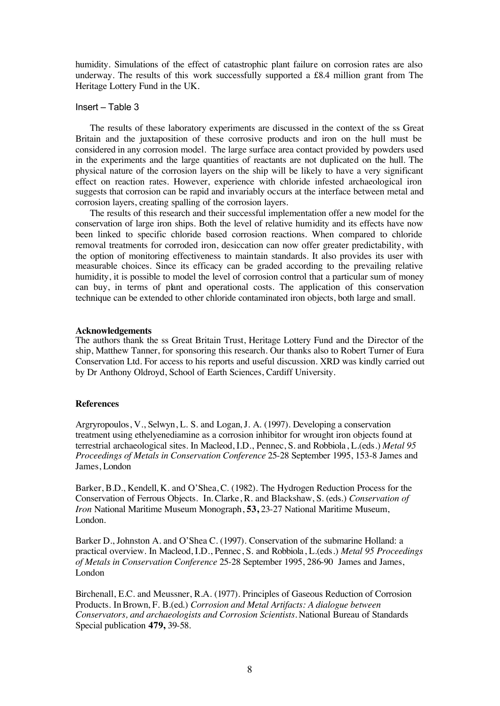humidity. Simulations of the effect of catastrophic plant failure on corrosion rates are also underway. The results of this work successfully supported a £8.4 million grant from The Heritage Lottery Fund in the UK.

## Insert – Table 3

The results of these laboratory experiments are discussed in the context of the ss Great Britain and the juxtaposition of these corrosive products and iron on the hull must be considered in any corrosion model. The large surface area contact provided by powders used in the experiments and the large quantities of reactants are not duplicated on the hull. The physical nature of the corrosion layers on the ship will be likely to have a very significant effect on reaction rates. However, experience with chloride infested archaeological iron suggests that corrosion can be rapid and invariably occurs at the interface between metal and corrosion layers, creating spalling of the corrosion layers.

The results of this research and their successful implementation offer a new model for the conservation of large iron ships. Both the level of relative humidity and its effects have now been linked to specific chloride based corrosion reactions. When compared to chloride removal treatments for corroded iron, desiccation can now offer greater predictability, with the option of monitoring effectiveness to maintain standards. It also provides its user with measurable choices. Since its efficacy can be graded according to the prevailing relative humidity, it is possible to model the level of corrosion control that a particular sum of money can buy, in terms of plant and operational costs. The application of this conservation technique can be extended to other chloride contaminated iron objects, both large and small.

#### **Acknowledgements**

The authors thank the ss Great Britain Trust, Heritage Lottery Fund and the Director of the ship, Matthew Tanner, for sponsoring this research. Our thanks also to Robert Turner of Eura Conservation Ltd. For access to his reports and useful discussion. XRD was kindly carried out by Dr Anthony Oldroyd, School of Earth Sciences, Cardiff University.

#### **References**

Argryropoulos, V., Selwyn, L. S. and Logan, J. A. (1997). Developing a conservation treatment using ethelyenediamine as a corrosion inhibitor for wrought iron objects found at terrestrial archaeological sites. In Macleod, I.D., Pennec, S. and Robbiola, L.(eds.) *Metal 95 Proceedings of Metals in Conservation Conference* 25-28 September 1995, 153-8 James and James, London

Barker, B.D., Kendell, K. and O'Shea, C. (1982). The Hydrogen Reduction Process for the Conservation of Ferrous Objects*.* In. Clarke, R. and Blackshaw, S. (eds.) *Conservation of Iron* National Maritime Museum Monograph, **53,** 23-27 National Maritime Museum, London.

Barker D., Johnston A. and O'Shea C. (1997). Conservation of the submarine Holland: a practical overview. In Macleod, I.D., Pennec, S. and Robbiola, L.(eds.) *Metal 95 Proceedings of Metals in Conservation Conference* 25-28 September 1995, 286-90 James and James, London

Birchenall, E.C. and Meussner, R.A. (1977). Principles of Gaseous Reduction of Corrosion Products. In Brown, F. B.(ed.) *Corrosion and Metal Artifacts: A dialogue between Conservators, and archaeologists and Corrosion Scientists.* National Bureau of Standards Special publication **479,** 39-58.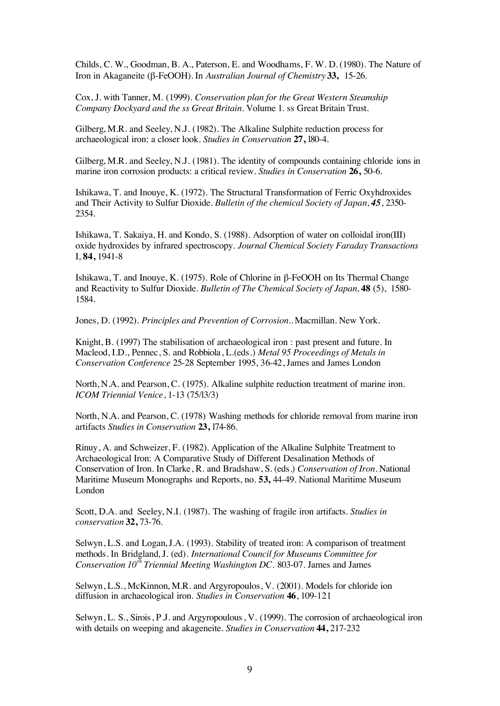Childs, C. W., Goodman, B. A., Paterson, E. and Woodhams, F. W. D. (1980). The Nature of Iron in Akaganeite (β-FeOOH). In *Australian Journal of Chemistry* **33,** 15-26.

Cox, J. with Tanner, M. (1999). *Conservation plan for the Great Western Steamship Company Dockyard and the ss Great Britain.* Volume 1. ss Great Britain Trust.

Gilberg, M.R. and Seeley, N.J. (1982). The Alkaline Sulphite reduction process for archaeological iron: a closer look. *Studies in Conservation* **27,** l80-4.

Gilberg, M.R. and Seeley, N.J. (1981). The identity of compounds containing chloride ions in marine iron corrosion products: a critical review. *Studies in Conservation* **26,** 50-6.

Ishikawa, T. and Inouye, K. (1972). The Structural Transformation of Ferric Oxyhdroxides and Their Activity to Sulfur Dioxide. *Bulletin of the chemical Society of Japan, 45*, 2350- 2354.

Ishikawa, T. Sakaiya, H. and Kondo, S. (1988). Adsorption of water on colloidal iron(III) oxide hydroxides by infrared spectroscopy. *Journal Chemical Society Faraday Transactions* I, **84,** 1941-8

Ishikawa, T. and Inouye, K. (1975). Role of Chlorine in β-FeOOH on Its Thermal Change and Reactivity to Sulfur Dioxide. *Bulletin of The Chemical Society of Japan,* **48** (5), 1580- 1584.

Jones, D. (1992). *Principles and Prevention of Corrosion..* Macmillan. New York.

Knight, B. (1997) The stabilisation of archaeological iron : past present and future. In Macleod, I.D., Pennec, S. and Robbiola, L.(eds.) *Metal 95 Proceedings of Metals in Conservation Conference* 25-28 September 1995, 36-42, James and James London

North, N.A. and Pearson, C. (1975). Alkaline sulphite reduction treatment of marine iron. *ICOM Triennial Venice*, 1-13 (75/l3/3)

North, N.A. and Pearson, C. (1978) Washing methods for chloride removal from marine iron artifacts *Studies in Conservation* **23,** l74-86.

Rinuy, A. and Schweizer, F. (1982). Application of the Alkaline Sulphite Treatment to Archaeological Iron: A Comparative Study of Different Desalination Methods of Conservation of Iron. In Clarke, R. and Bradshaw, S. (eds.) *Conservation of Iron.* National Maritime Museum Monographs and Reports, no. **53,** 44-49. National Maritime Museum London

Scott, D.A. and Seeley, N.I. (1987). The washing of fragile iron artifacts. *Studies in conservation* **32,** 73-76.

Selwyn, L.S. and Logan, J.A. (1993). Stability of treated iron: A comparison of treatment methods. In Bridgland, J. (ed). *International Council for Museums Committee for Conservation 10th Triennial Meeting Washington DC.* 803-07. James and James

Selwyn, L.S., McKinnon, M.R. and Argyropoulos, V. (2001). Models for chloride ion diffusion in archaeological iron. *Studies in Conservation* **46**, 109-121

Selwyn, L. S., Sirois, P.J. and Argyropoulous, V. (1999). The corrosion of archaeological iron with details on weeping and akageneite. *Studies in Conservation* **44,** 217-232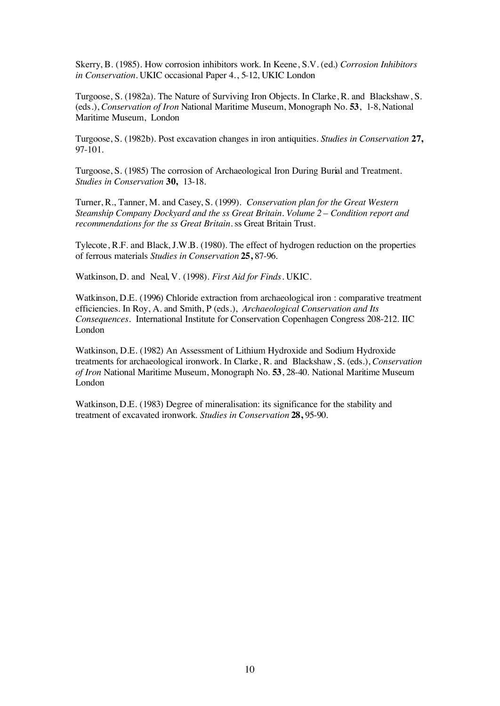Skerry, B. (1985). How corrosion inhibitors work. In Keene, S.V. (ed.) *Corrosion Inhibitors in Conservation.* UKIC occasional Paper 4., 5-12, UKIC London

Turgoose, S. (1982a). The Nature of Surviving Iron Objects. In Clarke, R. and Blackshaw, S. (eds.), *Conservation of Iron* National Maritime Museum, Monograph No. **53**, 1-8, National Maritime Museum, London

Turgoose, S. (1982b). Post excavation changes in iron antiquities. *Studies in Conservation* **27,** 97-101.

Turgoose, S. (1985) The corrosion of Archaeological Iron During Burial and Treatment. *Studies in Conservation* **30,** 13-18.

Turner, R., Tanner, M. and Casey, S. (1999). *Conservation plan for the Great Western Steamship Company Dockyard and the ss Great Britain. Volume 2 – Condition report and recommendations for the ss Great Britain.* ss Great Britain Trust.

Tylecote, R.F. and Black, J.W.B. (1980). The effect of hydrogen reduction on the properties of ferrous materials *Studies in Conservation* **25,** 87-96.

Watkinson, D. and Neal, V. (1998). *First Aid for Finds.* UKIC.

Watkinson, D.E. (1996) Chloride extraction from archaeological iron : comparative treatment efficiencies. In Roy, A. and Smith, P (eds.), *Archaeological Conservation and Its Consequences.* International Institute for Conservation Copenhagen Congress 208-212. IIC London

Watkinson, D.E. (1982) An Assessment of Lithium Hydroxide and Sodium Hydroxide treatments for archaeological ironwork. In Clarke, R. and Blackshaw, S. (eds.), *Conservation of Iron* National Maritime Museum, Monograph No. **53**, 28-40. National Maritime Museum London

Watkinson, D.E. (1983) Degree of mineralisation: its significance for the stability and treatment of excavated ironwork. *Studies in Conservation* **28,** 95-90.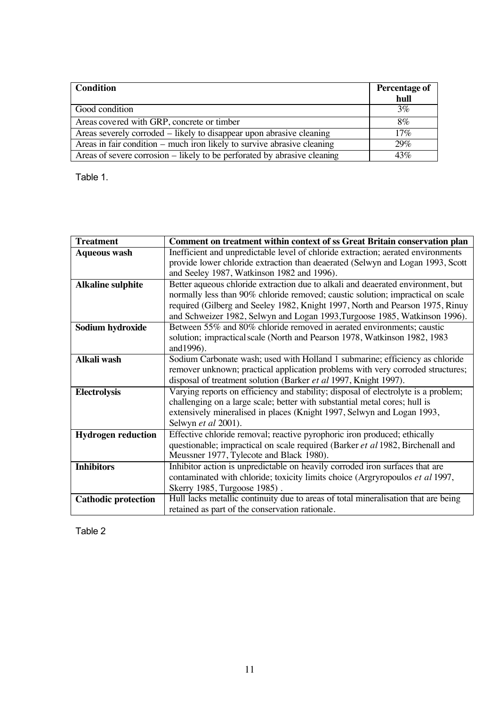| Condition                                                                | Percentage of |
|--------------------------------------------------------------------------|---------------|
|                                                                          | hull          |
| Good condition                                                           | $3\%$         |
| Areas covered with GRP, concrete or timber                               | 8%            |
| Areas severely corroded – likely to disappear upon abrasive cleaning     | $17\%$        |
| Areas in fair condition – much iron likely to survive abrasive cleaning  | 29%           |
| Areas of severe corrosion – likely to be perforated by abrasive cleaning | 43%           |

Table 1.

| <b>Treatment</b>           | Comment on treatment within context of ss Great Britain conservation plan          |
|----------------------------|------------------------------------------------------------------------------------|
| <b>Aqueous wash</b>        | Inefficient and unpredictable level of chloride extraction; aerated environments   |
|                            | provide lower chloride extraction than deaerated (Selwyn and Logan 1993, Scott     |
|                            | and Seeley 1987, Watkinson 1982 and 1996).                                         |
| <b>Alkaline sulphite</b>   | Better aqueous chloride extraction due to alkali and deaerated environment, but    |
|                            | normally less than 90% chloride removed; caustic solution; impractical on scale    |
|                            | required (Gilberg and Seeley 1982, Knight 1997, North and Pearson 1975, Rinuy      |
|                            | and Schweizer 1982, Selwyn and Logan 1993, Turgoose 1985, Watkinson 1996).         |
| Sodium hydroxide           | Between 55% and 80% chloride removed in aerated environments; caustic              |
|                            | solution; impractical scale (North and Pearson 1978, Watkinson 1982, 1983          |
|                            | and 1996).                                                                         |
| Alkali wash                | Sodium Carbonate wash; used with Holland 1 submarine; efficiency as chloride       |
|                            | remover unknown; practical application problems with very corroded structures;     |
|                            | disposal of treatment solution (Barker et al 1997, Knight 1997).                   |
| <b>Electrolysis</b>        | Varying reports on efficiency and stability; disposal of electrolyte is a problem; |
|                            | challenging on a large scale; better with substantial metal cores; hull is         |
|                            | extensively mineralised in places (Knight 1997, Selwyn and Logan 1993,             |
|                            | Selwyn et al 2001).                                                                |
| <b>Hydrogen reduction</b>  | Effective chloride removal; reactive pyrophoric iron produced; ethically           |
|                            | questionable; impractical on scale required (Barker et al 1982, Birchenall and     |
|                            | Meussner 1977, Tylecote and Black 1980).                                           |
| <b>Inhibitors</b>          | Inhibitor action is unpredictable on heavily corroded iron surfaces that are       |
|                            | contaminated with chloride; toxicity limits choice (Argryropoulos et al 1997,      |
|                            | Skerry 1985, Turgoose 1985).                                                       |
| <b>Cathodic protection</b> | Hull lacks metallic continuity due to areas of total mineralisation that are being |
|                            | retained as part of the conservation rationale.                                    |

Table 2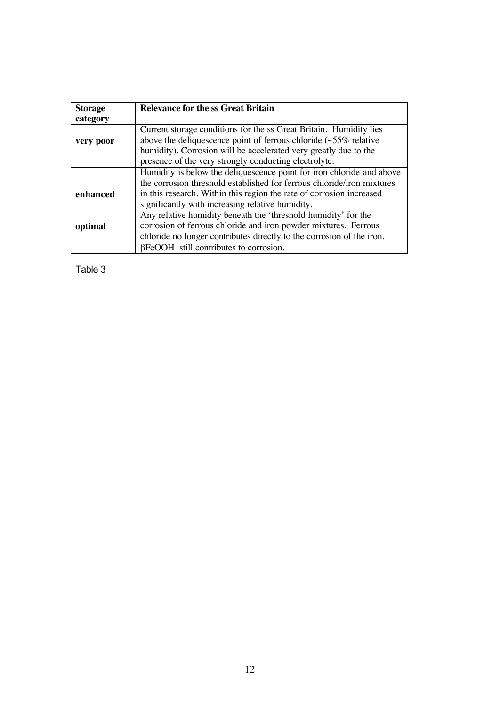| <b>Storage</b> | <b>Relevance for the ss Great Britain</b>                                                                                                                                                                                                                                  |
|----------------|----------------------------------------------------------------------------------------------------------------------------------------------------------------------------------------------------------------------------------------------------------------------------|
| category       |                                                                                                                                                                                                                                                                            |
| very poor      | Current storage conditions for the ss Great Britain. Humidity lies<br>above the deliquescence point of ferrous chloride $(\sim 55\%$ relative<br>humidity). Corrosion will be accelerated very greatly due to the<br>presence of the very strongly conducting electrolyte. |
|                | Humidity is below the deliquescence point for iron chloride and above                                                                                                                                                                                                      |
|                | the corrosion threshold established for ferrous chloride/iron mixtures                                                                                                                                                                                                     |
| enhanced       | in this research. Within this region the rate of corrosion increased                                                                                                                                                                                                       |
|                | significantly with increasing relative humidity.                                                                                                                                                                                                                           |
|                | Any relative humidity beneath the 'threshold humidity' for the                                                                                                                                                                                                             |
| optimal        | corrosion of ferrous chloride and iron powder mixtures. Ferrous                                                                                                                                                                                                            |
|                | chloride no longer contributes directly to the corrosion of the iron.                                                                                                                                                                                                      |
|                | $\beta$ FeOOH still contributes to corrosion.                                                                                                                                                                                                                              |

Table 3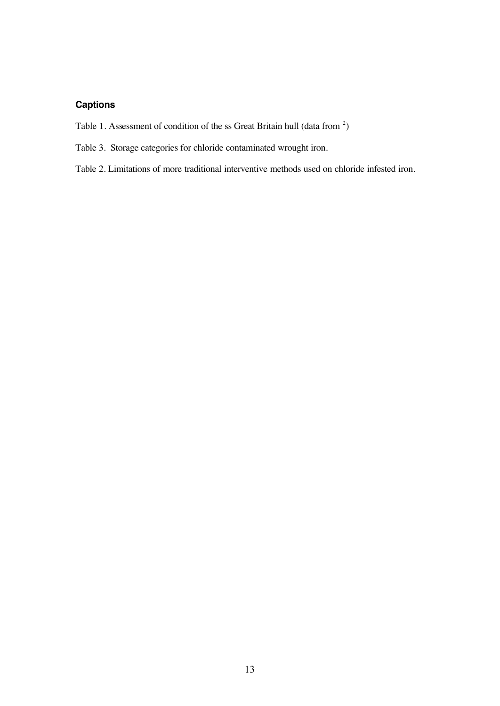# **Captions**

- Table 1. Assessment of condition of the ss Great Britain hull (data from  $2$ )
- Table 3. Storage categories for chloride contaminated wrought iron.
- Table 2. Limitations of more traditional interventive methods used on chloride infested iron.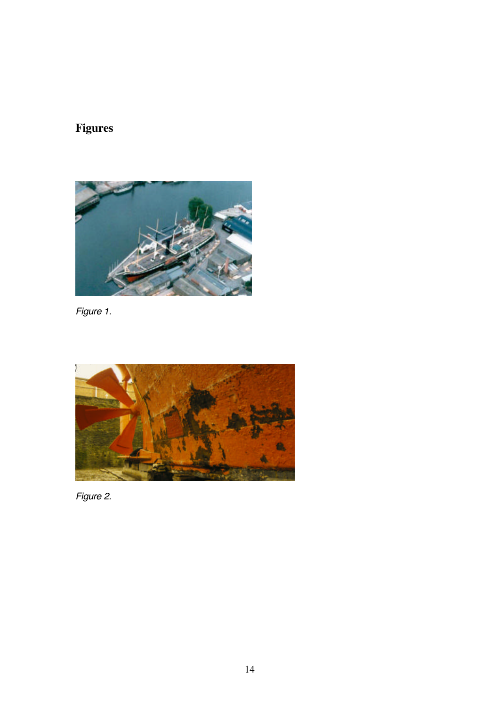# **Figures**



*Figure 1.*



*Figure 2.*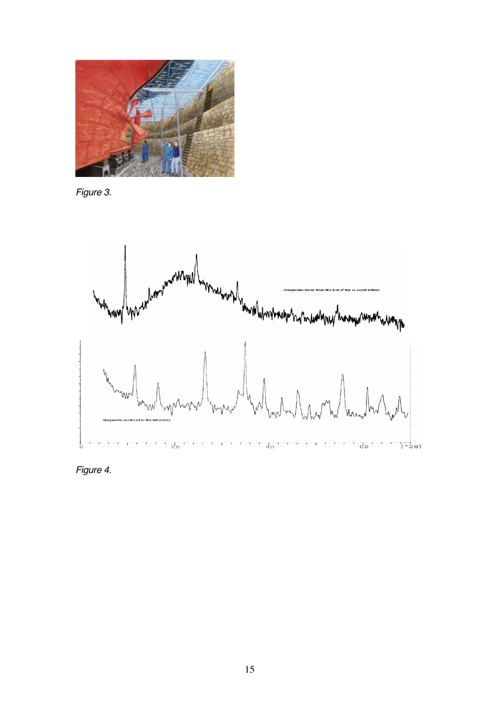

*Figure 3.* 



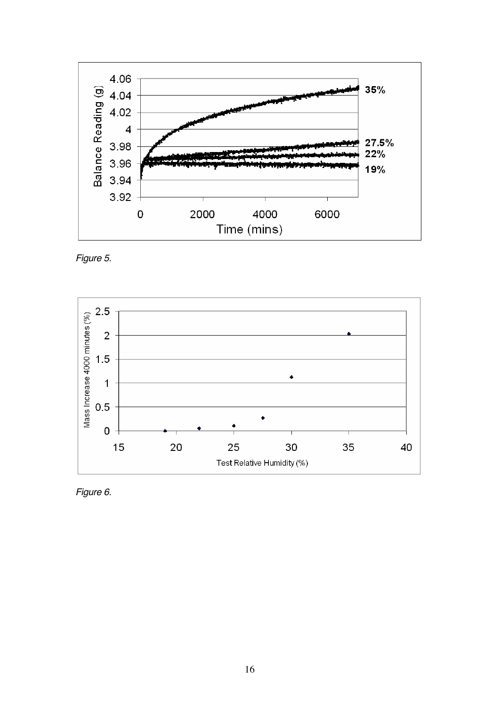

*Figure 5.* 



*Figure 6.*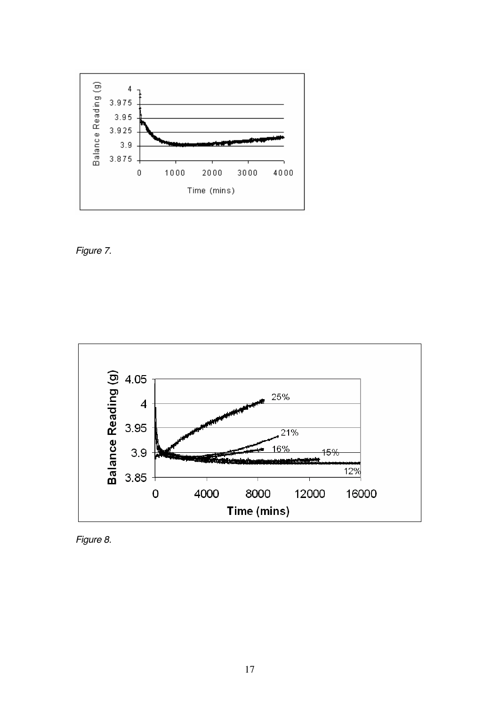

*Figure 7.* 



*Figure 8.*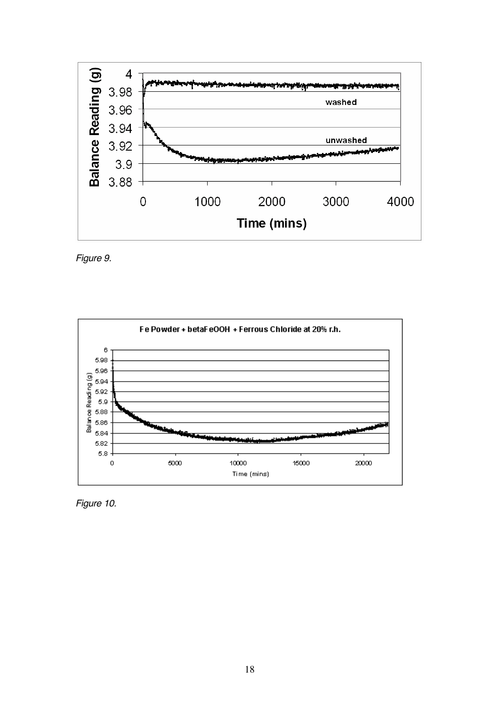

*Figure 9.* 



*Figure 10.*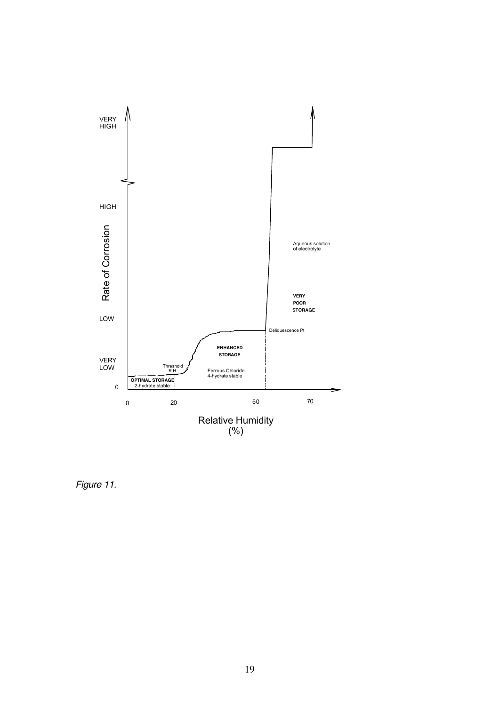

*Figure 11.*